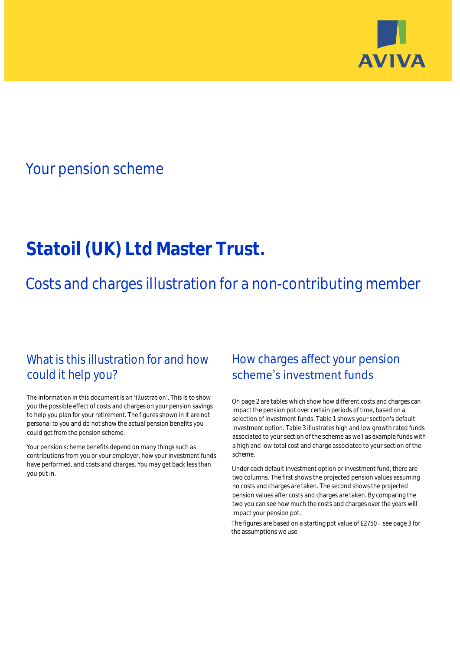

## Your pension scheme

# **Statoil (UK) Ltd Master Trust.**

Costs and charges illustration for a non-contributing member

### What is this illustration for and how could it help you?

#### The information in this document is an 'illustration'. This is to show you the possible effect of costs and charges on your pension savings to help you plan for your retirement. The figures shown in it are not personal to you and do not show the actual pension benefits you could get from the pension scheme.

Your pension scheme benefits depend on many things such as contributions from you or your employer, how your investment funds have performed, and costs and charges. You may get back less than you put in.

### How charges affect your pension scheme's investment funds

On page 2 are tables which show how different costs and charges can impact the pension pot over certain periods of time, based on a selection of investment funds. Table 1 shows your section's default investment option. Table 3 illustrates high and low growth rated funds associated to your section of the scheme as well as example funds with a high and low total cost and charge associated to your section of the scheme.

Under each default investment option or investment fund, there are two columns. The first shows the projected pension values assuming no costs and charges are taken. The second shows the projected pension values after costs and charges are taken. By comparing the two you can see how much the costs and charges over the years will impact your pension pot.

The figures are based on a starting pot value of  $£2750 -$  see page 3 for the assumptions we use.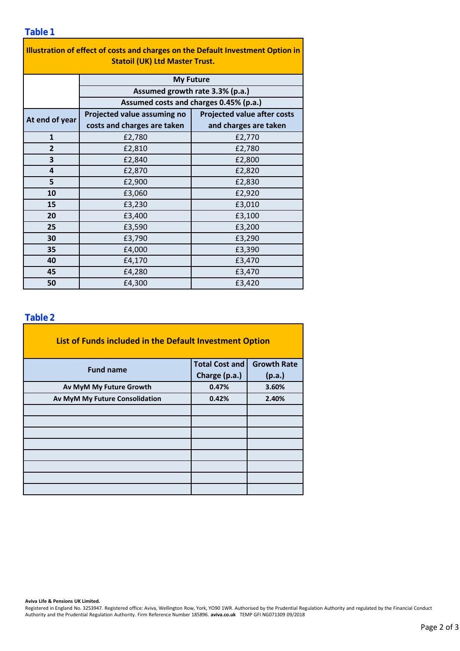| Illustration of effect of costs and charges on the Default Investment Option in |                                        |                                    |  |  |  |  |  |  |  |
|---------------------------------------------------------------------------------|----------------------------------------|------------------------------------|--|--|--|--|--|--|--|
| <b>Statoil (UK) Ltd Master Trust.</b>                                           |                                        |                                    |  |  |  |  |  |  |  |
|                                                                                 | <b>My Future</b>                       |                                    |  |  |  |  |  |  |  |
|                                                                                 | Assumed growth rate 3.3% (p.a.)        |                                    |  |  |  |  |  |  |  |
|                                                                                 | Assumed costs and charges 0.45% (p.a.) |                                    |  |  |  |  |  |  |  |
| At end of year                                                                  | Projected value assuming no            | <b>Projected value after costs</b> |  |  |  |  |  |  |  |
|                                                                                 | costs and charges are taken            | and charges are taken              |  |  |  |  |  |  |  |
| $\mathbf{1}$                                                                    | £2,780                                 | £2,770                             |  |  |  |  |  |  |  |
| $\overline{2}$                                                                  | £2,810                                 | £2,780                             |  |  |  |  |  |  |  |
| 3                                                                               | £2,840                                 | £2,800                             |  |  |  |  |  |  |  |
| 4                                                                               | £2,870                                 | £2,820                             |  |  |  |  |  |  |  |
| 5                                                                               | £2,900                                 | £2,830                             |  |  |  |  |  |  |  |
| 10                                                                              | £3,060                                 | £2,920                             |  |  |  |  |  |  |  |
| 15                                                                              | £3,230                                 | £3,010                             |  |  |  |  |  |  |  |
| 20                                                                              | £3,400                                 | £3,100                             |  |  |  |  |  |  |  |
| 25                                                                              | £3,590                                 | £3,200                             |  |  |  |  |  |  |  |
| 30                                                                              | £3,790                                 | £3,290                             |  |  |  |  |  |  |  |
| 35                                                                              | £4,000                                 | £3,390                             |  |  |  |  |  |  |  |
| 40                                                                              | £4,170                                 | £3,470                             |  |  |  |  |  |  |  |
| 45                                                                              | £4,280                                 | £3,470                             |  |  |  |  |  |  |  |
| 50                                                                              | £4,300                                 | £3,420                             |  |  |  |  |  |  |  |

٦

### **Table 2**

| List of Funds included in the Default Investment Option |                       |                    |  |  |  |  |  |  |
|---------------------------------------------------------|-----------------------|--------------------|--|--|--|--|--|--|
| <b>Fund name</b>                                        | <b>Total Cost and</b> | <b>Growth Rate</b> |  |  |  |  |  |  |
|                                                         | Charge (p.a.)         | (p.a.)             |  |  |  |  |  |  |
| Av MyM My Future Growth                                 | 0.47%                 | 3.60%              |  |  |  |  |  |  |
| Av MyM My Future Consolidation                          | 0.42%                 | 2.40%              |  |  |  |  |  |  |
|                                                         |                       |                    |  |  |  |  |  |  |
|                                                         |                       |                    |  |  |  |  |  |  |
|                                                         |                       |                    |  |  |  |  |  |  |
|                                                         |                       |                    |  |  |  |  |  |  |
|                                                         |                       |                    |  |  |  |  |  |  |
|                                                         |                       |                    |  |  |  |  |  |  |
|                                                         |                       |                    |  |  |  |  |  |  |
|                                                         |                       |                    |  |  |  |  |  |  |

#### **Aviva Life & Pensions UK Limited.**

Registered in England No. 3253947. Registered office: Aviva, Wellington Row, York, YO90 1WR. Authorised by the Prudential Regulation Authority and regulated by the Financial Conduct Authority and the Prudential Regulation Authority. Firm Reference Number 185896. **aviva.co.uk** TEMP GFI NG071309 09/2018